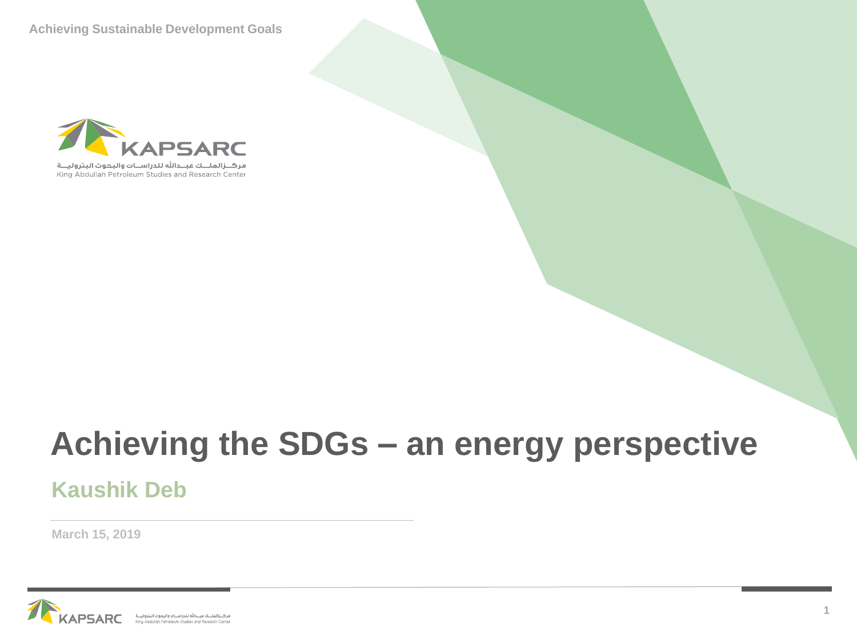**Achieving Sustainable Development Goals**



## **Achieving the SDGs – an energy perspective**

### **Kaushik Deb**

**March 15, 2019**



**THEMATIC SESSION 3 – ENVIRONMENT**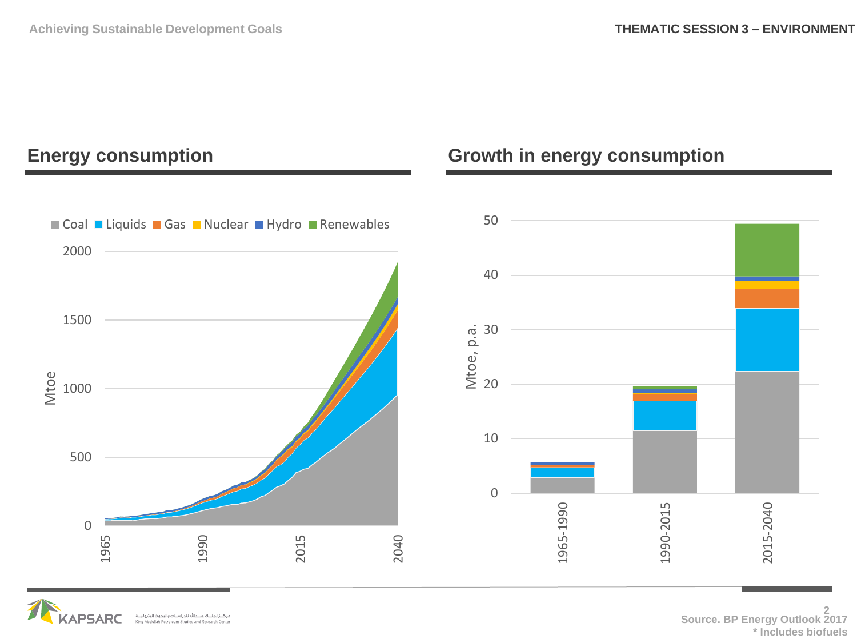



### **2 Source. BP Energy Outlook 2017 \* Includes biofuels**

### **Energy consumption Growth in energy consumption**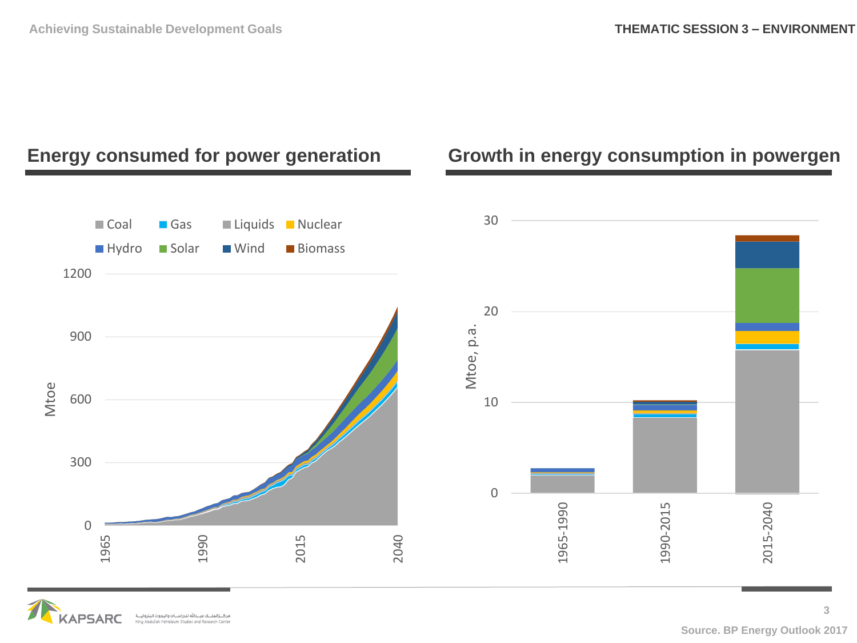

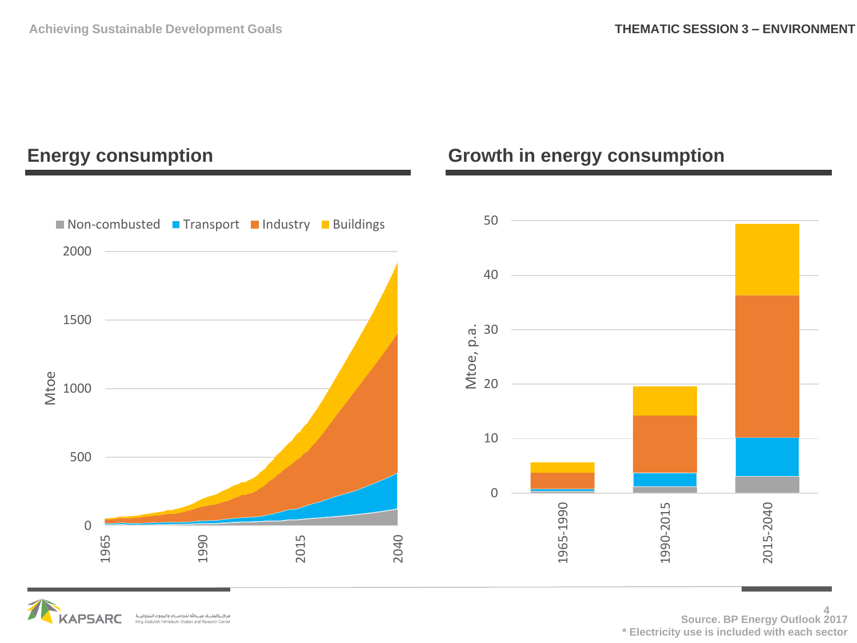



**4 Source. BP Energy Outlook 2017 \* Electricity use is included with each sector**

### **Energy consumption Growth in energy consumption**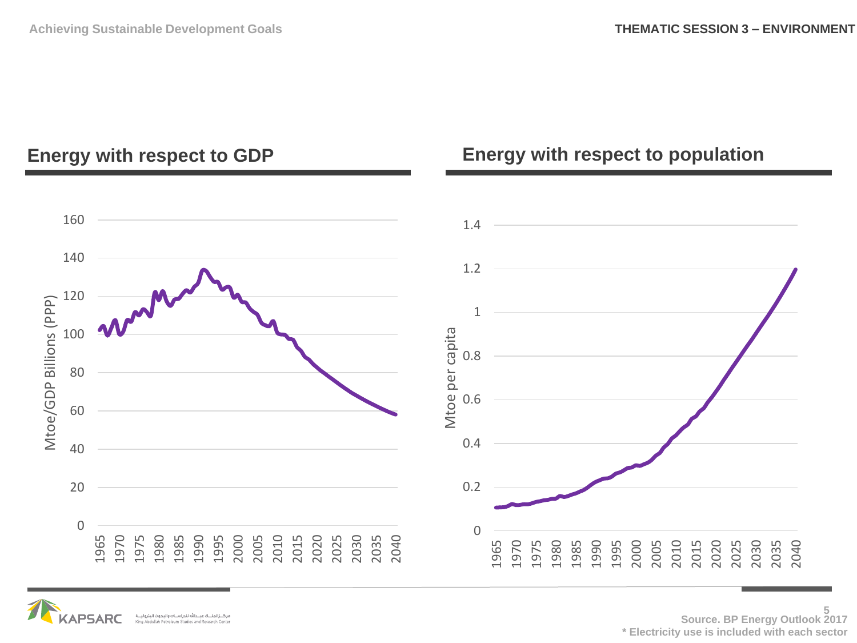### **Energy with respect to GDP**

### 1.4 1.2 Mtoe/GDP Billions (PPP) Mtoe/GDP Billions (PPP) Mtoe per capita Mtoe per capita 0.8 0.6 0.4 0.2



### **Energy with respect to population**

**5 Source. BP Energy Outlook 2017 \* Electricity use is included with each sector**